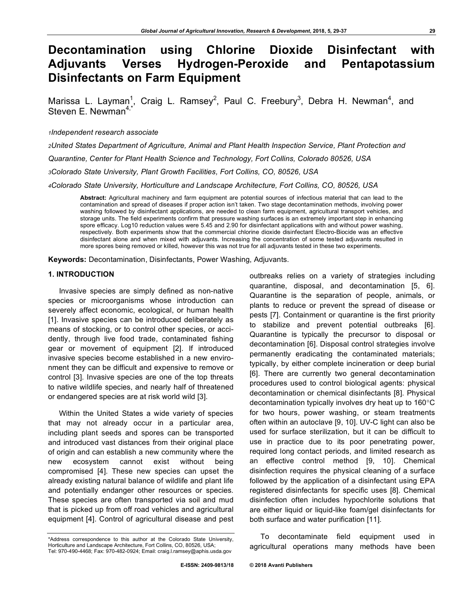# **Decontamination using Chlorine Dioxide Disinfectant with Adjuvants Verses Hydrogen-Peroxide and Pentapotassium Disinfectants on Farm Equipment**

Marissa L. Layman<sup>1</sup>, Craig L. Ramsey<sup>2</sup>, Paul C. Freebury<sup>3</sup>, Debra H. Newman<sup>4</sup>, and Steven E. Newman<sup>4,\*</sup>

# *1Independent research associate*

*2United States Department of Agriculture, Animal and Plant Health Inspection Service, Plant Protection and Quarantine, Center for Plant Health Science and Technology, Fort Collins, Colorado 80526, USA 3Colorado State University, Plant Growth Facilities, Fort Collins, CO, 80526, USA*

*4Colorado State University, Horticulture and Landscape Architecture, Fort Collins, CO, 80526, USA*

**Abstract:** Agricultural machinery and farm equipment are potential sources of infectious material that can lead to the contamination and spread of diseases if proper action isn't taken. Two stage decontamination methods, involving power washing followed by disinfectant applications, are needed to clean farm equipment, agricultural transport vehicles, and storage units. The field experiments confirm that pressure washing surfaces is an extremely important step in enhancing spore efficacy. Log10 reduction values were 5.45 and 2.90 for disinfectant applications with and without power washing, respectively. Both experiments show that the commercial chlorine dioxide disinfectant Electro-Biocide was an effective disinfectant alone and when mixed with adjuvants. Increasing the concentration of some tested adjuvants resulted in more spores being removed or killed, however this was not true for all adjuvants tested in these two experiments.

**Keywords:** Decontamination, Disinfectants, Power Washing, Adjuvants.

# **1. INTRODUCTION**

Invasive species are simply defined as non-native species or microorganisms whose introduction can severely affect economic, ecological, or human health [1]. Invasive species can be introduced deliberately as means of stocking, or to control other species, or accidently, through live food trade, contaminated fishing gear or movement of equipment [2]. If introduced invasive species become established in a new environment they can be difficult and expensive to remove or control [3]. Invasive species are one of the top threats to native wildlife species, and nearly half of threatened or endangered species are at risk world wild [3].

Within the United States a wide variety of species that may not already occur in a particular area, including plant seeds and spores can be transported and introduced vast distances from their original place of origin and can establish a new community where the new ecosystem cannot exist without being compromised [4]. These new species can upset the already existing natural balance of wildlife and plant life and potentially endanger other resources or species. These species are often transported via soil and mud that is picked up from off road vehicles and agricultural equipment [4]. Control of agricultural disease and pest outbreaks relies on a variety of strategies including quarantine, disposal, and decontamination [5, 6]. Quarantine is the separation of people, animals, or plants to reduce or prevent the spread of disease or pests [7]. Containment or quarantine is the first priority to stabilize and prevent potential outbreaks [6]. Quarantine is typically the precursor to disposal or decontamination [6]. Disposal control strategies involve permanently eradicating the contaminated materials; typically, by either complete incineration or deep burial [6]. There are currently two general decontamination procedures used to control biological agents: physical decontamination or chemical disinfectants [8]. Physical decontamination typically involves dry heat up to 160°C for two hours, power washing, or steam treatments often within an autoclave [9, 10]. UV-C light can also be used for surface sterilization, but it can be difficult to use in practice due to its poor penetrating power, required long contact periods, and limited research as an effective control method [9, 10]. Chemical disinfection requires the physical cleaning of a surface followed by the application of a disinfectant using EPA registered disinfectants for specific uses [8]. Chemical disinfection often includes hypochlorite solutions that are either liquid or liquid-like foam/gel disinfectants for both surface and water purification [11].

To decontaminate field equipment used in agricultural operations many methods have been

<sup>\*</sup>Address correspondence to this author at the Colorado State University, Horticulture and Landscape Architecture, Fort Collins, CO, 80526, USA; Tel: 970-490-4468; Fax: 970-482-0924; Email: craig.l.ramsey@aphis.usda.gov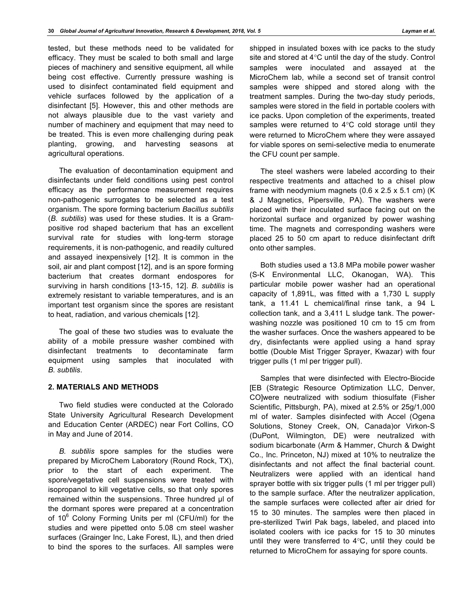tested, but these methods need to be validated for efficacy. They must be scaled to both small and large pieces of machinery and sensitive equipment, all while being cost effective. Currently pressure washing is used to disinfect contaminated field equipment and vehicle surfaces followed by the application of a disinfectant [5]. However, this and other methods are not always plausible due to the vast variety and number of machinery and equipment that may need to be treated. This is even more challenging during peak planting, growing, and harvesting seasons at agricultural operations.

The evaluation of decontamination equipment and disinfectants under field conditions using pest control efficacy as the performance measurement requires non-pathogenic surrogates to be selected as a test organism. The spore forming bacterium *Bacillus subtilis*  (*B. subtilis*) was used for these studies. It is a Grampositive rod shaped bacterium that has an excellent survival rate for studies with long-term storage requirements, it is non-pathogenic, and readily cultured and assayed inexpensively [12]. It is common in the soil, air and plant compost [12], and is an spore forming bacterium that creates dormant endospores for surviving in harsh conditions [13-15, 12]. *B. subtilis* is extremely resistant to variable temperatures, and is an important test organism since the spores are resistant to heat, radiation, and various chemicals [12].

The goal of these two studies was to evaluate the ability of a mobile pressure washer combined with disinfectant treatments to decontaminate farm equipment using samples that inoculated with *B. subtilis.*

## **2. MATERIALS AND METHODS**

Two field studies were conducted at the Colorado State University Agricultural Research Development and Education Center (ARDEC) near Fort Collins, CO in May and June of 2014.

*B. subtilis* spore samples for the studies were prepared by MicroChem Laboratory (Round Rock, TX), prior to the start of each experiment. The spore/vegetative cell suspensions were treated with isopropanol to kill vegetative cells, so that only spores remained within the suspensions. Three hundred µl of the dormant spores were prepared at a concentration of 10<sup>6</sup> Colony Forming Units per ml (CFU/ml) for the studies and were pipetted onto 5.08 cm steel washer surfaces (Grainger Inc, Lake Forest, IL), and then dried to bind the spores to the surfaces. All samples were

shipped in insulated boxes with ice packs to the study site and stored at 4°C until the day of the study. Control samples were inoculated and assayed at the MicroChem lab, while a second set of transit control samples were shipped and stored along with the treatment samples. During the two-day study periods, samples were stored in the field in portable coolers with ice packs. Upon completion of the experiments, treated samples were returned to 4°C cold storage until they were returned to MicroChem where they were assayed for viable spores on semi-selective media to enumerate the CFU count per sample.

The steel washers were labeled according to their respective treatments and attached to a chisel plow frame with neodymium magnets (0.6 x 2.5 x 5.1 cm) (K & J Magnetics, Pipersville, PA). The washers were placed with their inoculated surface facing out on the horizontal surface and organized by power washing time. The magnets and corresponding washers were placed 25 to 50 cm apart to reduce disinfectant drift onto other samples.

Both studies used a 13.8 MPa mobile power washer (S-K Environmental LLC, Okanogan, WA). This particular mobile power washer had an operational capacity of 1,891L, was fitted with a 1,730 L supply tank, a 11.41 L chemical/final rinse tank, a 94 L collection tank, and a 3,411 L sludge tank. The powerwashing nozzle was positioned 10 cm to 15 cm from the washer surfaces. Once the washers appeared to be dry, disinfectants were applied using a hand spray bottle (Double Mist Trigger Sprayer, Kwazar) with four trigger pulls (1 ml per trigger pull).

Samples that were disinfected with Electro-Biocide [EB (Strategic Resource Optimization LLC, Denver, CO]were neutralized with sodium thiosulfate (Fisher Scientific, Pittsburgh, PA), mixed at 2.5% or 25g/1,000 ml of water. Samples disinfected with Accel (Ogena Solutions, Stoney Creek, ON, Canada)or Virkon-S (DuPont, Wilmington, DE) were neutralized with sodium bicarbonate (Arm & Hammer, Church & Dwight Co., Inc. Princeton, NJ) mixed at 10% to neutralize the disinfectants and not affect the final bacterial count. Neutralizers were applied with an identical hand sprayer bottle with six trigger pulls (1 ml per trigger pull) to the sample surface. After the neutralizer application, the sample surfaces were collected after air dried for 15 to 30 minutes. The samples were then placed in pre-sterilized Twirl Pak bags, labeled, and placed into isolated coolers with ice packs for 15 to 30 minutes until they were transferred to 4°C, until they could be returned to MicroChem for assaying for spore counts.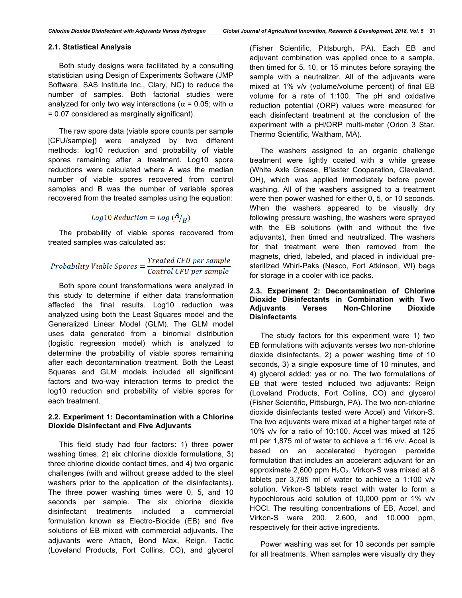#### **2.1. Statistical Analysis**

Both study designs were facilitated by a consulting statistician using Design of Experiments Software (JMP Software, SAS Institute Inc., Clary, NC) to reduce the number of samples. Both factorial studies were analyzed for only two way interactions ( $\alpha$  = 0.05; with  $\alpha$ = 0.07 considered as marginally significant).

The raw spore data (viable spore counts per sample [CFU/sample]) were analyzed by two different methods: log10 reduction and probability of viable spores remaining after a treatment. Log10 spore reductions were calculated where A was the median number of viable spores recovered from control samples and B was the number of variable spores recovered from the treated samples using the equation:

$$
Log 10 \; Reduction = Log \; (^A/_B)
$$

The probability of viable spores recovered from treated samples was calculated as:

Probability Value Spores = 
$$
\frac{Treated~CFU~per~sample}{Control~CFU~per~sample}
$$

Both spore count transformations were analyzed in this study to determine if either data transformation affected the final results. Log10 reduction was analyzed using both the Least Squares model and the Generalized Linear Model (GLM). The GLM model uses data generated from a binomial distribution (logistic regression model) which is analyzed to determine the probability of viable spores remaining after each decontamination treatment. Both the Least Squares and GLM models included all significant factors and two-way interaction terms to predict the log10 reduction and probability of viable spores for each treatment.

# **2.2. Experiment 1: Decontamination with a Chlorine Dioxide Disinfectant and Five Adjuvants**

This field study had four factors: 1) three power washing times, 2) six chlorine dioxide formulations, 3) three chlorine dioxide contact times, and 4) two organic challenges (with and without grease added to the steel washers prior to the application of the disinfectants). The three power washing times were 0, 5, and 10 seconds per sample. The six chlorine dioxide disinfectant treatments included a commercial formulation known as Electro-Biocide (EB) and five solutions of EB mixed with commercial adjuvants. The adjuvants were Attach, Bond Max, Reign, Tactic (Loveland Products, Fort Collins, CO), and glycerol

(Fisher Scientific, Pittsburgh, PA). Each EB and adjuvant combination was applied once to a sample, then timed for 5, 10, or 15 minutes before spraying the sample with a neutralizer. All of the adjuvants were mixed at 1% v/v (volume/volume percent) of final EB volume for a rate of 1:100. The pH and oxidative reduction potential (ORP) values were measured for each disinfectant treatment at the conclusion of the experiment with a pH/ORP multi-meter (Orion 3 Star, Thermo Scientific, Waltham, MA).

The washers assigned to an organic challenge treatment were lightly coated with a white grease (White Axle Grease, B'laster Cooperation, Cleveland, OH), which was applied immediately before power washing. All of the washers assigned to a treatment were then power washed for either 0, 5, or 10 seconds. When the washers appeared to be visually dry following pressure washing, the washers were sprayed with the EB solutions (with and without the five adjuvants), then timed and neutralized. The washers for that treatment were then removed from the magnets, dried, labeled, and placed in individual presterilized Whirl-Paks (Nasco, Fort Atkinson, WI) bags for storage in a cooler with ice packs.

# **2.3. Experiment 2: Decontamination of Chlorine Dioxide Disinfectants in Combination with Two Adjuvants Verses Non-Chlorine Dioxide Disinfectants**

The study factors for this experiment were 1) two EB formulations with adjuvants verses two non-chlorine dioxide disinfectants, 2) a power washing time of 10 seconds, 3) a single exposure time of 10 minutes, and 4) glycerol added: yes or no. The two formulations of EB that were tested included two adjuvants: Reign (Loveland Products, Fort Collins, CO) and glycerol (Fisher Scientific, Pittsburgh, PA). The two non-chlorine dioxide disinfectants tested were Accel) and Virkon-S. The two adjuvants were mixed at a higher target rate of 10% v/v for a ratio of 10:100. Accel was mixed at 125 ml per 1,875 ml of water to achieve a 1:16 v/v. Accel is based on an accelerated hydrogen peroxide formulation that includes an accelerant adjuvant for an approximate 2,600 ppm  $H_2O_2$ . Virkon-S was mixed at 8 tablets per 3,785 ml of water to achieve a 1:100 v/v solution. Virkon-S tablets react with water to form a hypochlorous acid solution of 10,000 ppm or 1% v/v HOCl. The resulting concentrations of EB, Accel, and Virkon-S were 200, 2,600, and 10,000 ppm, respectively for their active ingredients.

Power washing was set for 10 seconds per sample for all treatments. When samples were visually dry they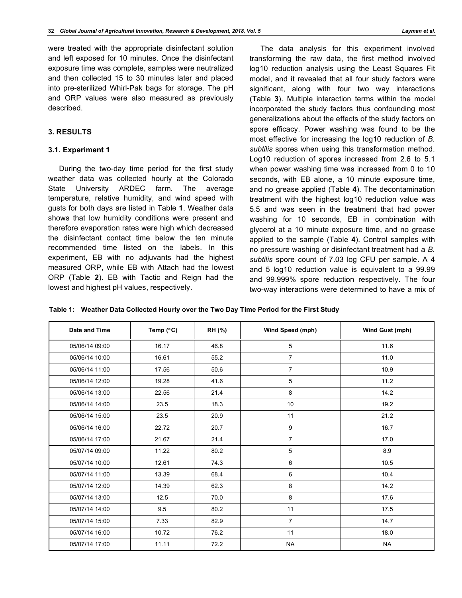were treated with the appropriate disinfectant solution and left exposed for 10 minutes. Once the disinfectant exposure time was complete, samples were neutralized and then collected 15 to 30 minutes later and placed into pre-sterilized Whirl-Pak bags for storage. The pH and ORP values were also measured as previously described.

# **3. RESULTS**

### **3.1. Experiment 1**

During the two-day time period for the first study weather data was collected hourly at the Colorado State University ARDEC farm. The average temperature, relative humidity, and wind speed with gusts for both days are listed in Table **1**. Weather data shows that low humidity conditions were present and therefore evaporation rates were high which decreased the disinfectant contact time below the ten minute recommended time listed on the labels. In this experiment, EB with no adjuvants had the highest measured ORP, while EB with Attach had the lowest ORP (Table **2**). EB with Tactic and Reign had the lowest and highest pH values, respectively.

The data analysis for this experiment involved transforming the raw data, the first method involved log10 reduction analysis using the Least Squares Fit model, and it revealed that all four study factors were significant, along with four two way interactions (Table **3**). Multiple interaction terms within the model incorporated the study factors thus confounding most generalizations about the effects of the study factors on spore efficacy. Power washing was found to be the most effective for increasing the log10 reduction of *B. subtilis* spores when using this transformation method. Log10 reduction of spores increased from 2.6 to 5.1 when power washing time was increased from 0 to 10 seconds, with EB alone, a 10 minute exposure time, and no grease applied (Table **4**). The decontamination treatment with the highest log10 reduction value was 5.5 and was seen in the treatment that had power washing for 10 seconds, EB in combination with glycerol at a 10 minute exposure time, and no grease applied to the sample (Table **4**). Control samples with no pressure washing or disinfectant treatment had a *B. subtilis* spore count of 7.03 log CFU per sample. A 4 and 5 log10 reduction value is equivalent to a 99.99 and 99.999% spore reduction respectively. The four two-way interactions were determined to have a mix of

**Table 1: Weather Data Collected Hourly over the Two Day Time Period for the First Study**

| <b>Date and Time</b> | Temp $(^{\circ}C)$ | RH (%)    | Wind Speed (mph) | Wind Gust (mph) |  |
|----------------------|--------------------|-----------|------------------|-----------------|--|
| 05/06/14 09:00       | 16.17              | 5<br>46.8 |                  | 11.6            |  |
| 05/06/14 10:00       | 16.61              | 55.2      | $\overline{7}$   | 11.0            |  |
| 05/06/14 11:00       | 17.56              | 50.6      | $\overline{7}$   | 10.9            |  |
| 05/06/14 12:00       | 19.28              | 41.6      | 5                | 11.2            |  |
| 05/06/14 13:00       | 22.56              | 21.4      | 8                | 14.2            |  |
| 05/06/14 14:00       | 23.5               | 18.3      | 10               | 19.2            |  |
| 05/06/14 15:00       | 23.5               | 20.9      | 11               | 21.2            |  |
| 05/06/14 16:00       | 22.72              | 20.7      | 9                | 16.7            |  |
| 05/06/14 17:00       | 21.67              | 21.4      | $\overline{7}$   | 17.0            |  |
| 05/07/14 09:00       | 11.22              | 80.2      | 5                | 8.9             |  |
| 05/07/14 10:00       | 12.61              | 74.3      | 6                | 10.5            |  |
| 05/07/14 11:00       | 13.39              | 68.4      | 6                | 10.4            |  |
| 05/07/14 12:00       | 14.39              | 62.3      | 8                | 14.2            |  |
| 05/07/14 13:00       | 12.5               | 70.0      | 8                | 17.6            |  |
| 05/07/14 14:00       | 9.5                | 80.2      | 11               | 17.5            |  |
| 05/07/14 15:00       | 7.33               | 82.9      | $\overline{7}$   | 14.7            |  |
| 05/07/14 16:00       | 10.72              | 76.2      | 11               | 18.0            |  |
| 05/07/14 17:00       | 11.11              | 72.2      | <b>NA</b>        | <b>NA</b>       |  |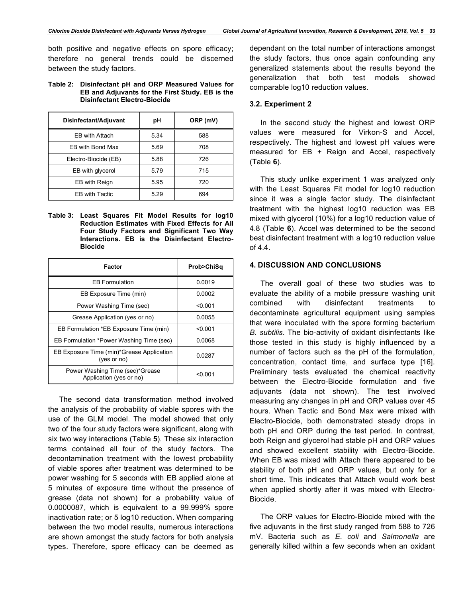both positive and negative effects on spore efficacy; therefore no general trends could be discerned between the study factors.

#### **Table 2: Disinfectant pH and ORP Measured Values for EB and Adjuvants for the First Study. EB is the Disinfectant Electro-Biocide**

| Disinfectant/Adjuvant | рH   | ORP (mV) |
|-----------------------|------|----------|
| <b>EB with Attach</b> | 5.34 | 588      |
| EB with Bond Max      | 5.69 | 708      |
| Electro-Biocide (EB)  | 5.88 | 726      |
| EB with glycerol      | 5.79 | 715      |
| EB with Reign         | 5.95 | 720      |
| <b>EB with Tactic</b> | 5.29 | 694      |

**Table 3: Least Squares Fit Model Results for log10 Reduction Estimates with Fixed Effects for All Four Study Factors and Significant Two Way Interactions. EB is the Disinfectant Electro-Biocide**

| <b>Factor</b>                                              | Prob>ChiSa |
|------------------------------------------------------------|------------|
| <b>EB Formulation</b>                                      | 0.0019     |
| EB Exposure Time (min)                                     | 0.0002     |
| Power Washing Time (sec)                                   | < 0.001    |
| Grease Application (yes or no)                             | 0.0055     |
| EB Formulation *EB Exposure Time (min)                     | < 0.001    |
| EB Formulation *Power Washing Time (sec)                   | 0.0068     |
| EB Exposure Time (min)*Grease Application<br>(yes or no)   | 0.0287     |
| Power Washing Time (sec)*Grease<br>Application (yes or no) | < 0.001    |

The second data transformation method involved the analysis of the probability of viable spores with the use of the GLM model. The model showed that only two of the four study factors were significant, along with six two way interactions (Table **5**). These six interaction terms contained all four of the study factors. The decontamination treatment with the lowest probability of viable spores after treatment was determined to be power washing for 5 seconds with EB applied alone at 5 minutes of exposure time without the presence of grease (data not shown) for a probability value of 0.0000087, which is equivalent to a 99.999% spore inactivation rate; or 5 log10 reduction. When comparing between the two model results, numerous interactions are shown amongst the study factors for both analysis types. Therefore, spore efficacy can be deemed as

dependant on the total number of interactions amongst the study factors, thus once again confounding any generalized statements about the results beyond the generalization that both test models showed comparable log10 reduction values.

### **3.2. Experiment 2**

In the second study the highest and lowest ORP values were measured for Virkon-S and Accel, respectively. The highest and lowest pH values were measured for EB + Reign and Accel, respectively (Table **6**).

This study unlike experiment 1 was analyzed only with the Least Squares Fit model for log10 reduction since it was a single factor study. The disinfectant treatment with the highest log10 reduction was EB mixed with glycerol (10%) for a log10 reduction value of 4.8 (Table **6**). Accel was determined to be the second best disinfectant treatment with a log10 reduction value of  $4.4.$ 

## **4. DISCUSSION AND CONCLUSIONS**

The overall goal of these two studies was to evaluate the ability of a mobile pressure washing unit combined with disinfectant treatments to decontaminate agricultural equipment using samples that were inoculated with the spore forming bacterium *B. subtilis.* The bio-activity of oxidant disinfectants like those tested in this study is highly influenced by a number of factors such as the pH of the formulation, concentration, contact time, and surface type [16]. Preliminary tests evaluated the chemical reactivity between the Electro-Biocide formulation and five adjuvants (data not shown). The test involved measuring any changes in pH and ORP values over 45 hours. When Tactic and Bond Max were mixed with Electro-Biocide, both demonstrated steady drops in both pH and ORP during the test period. In contrast, both Reign and glycerol had stable pH and ORP values and showed excellent stability with Electro-Biocide. When EB was mixed with Attach there appeared to be stability of both pH and ORP values, but only for a short time. This indicates that Attach would work best when applied shortly after it was mixed with Electro-Biocide.

The ORP values for Electro-Biocide mixed with the five adjuvants in the first study ranged from 588 to 726 mV. Bacteria such as *E. coli* and *Salmonella* are generally killed within a few seconds when an oxidant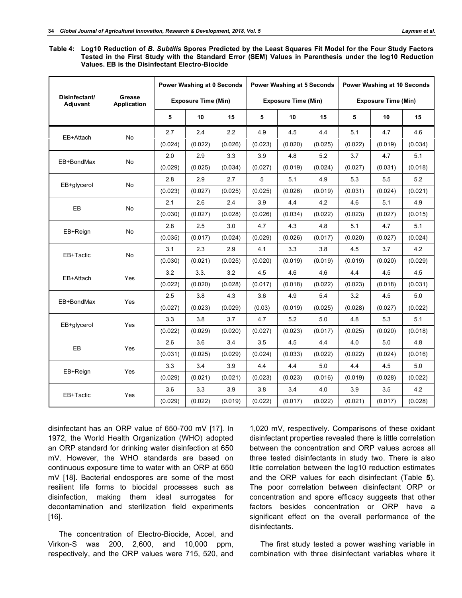**Table 4: Log10 Reduction of** *B. Subtilis* **Spores Predicted by the Least Squares Fit Model for the Four Study Factors Tested in the First Study with the Standard Error (SEM) Values in Parenthesis under the log10 Reduction Values. EB is the Disinfectant Electro-Biocide**

|                                  | Grease<br><b>Application</b> | <b>Power Washing at 0 Seconds</b> |         |         | <b>Power Washing at 5 Seconds</b> |         |         | Power Washing at 10 Seconds |         |         |
|----------------------------------|------------------------------|-----------------------------------|---------|---------|-----------------------------------|---------|---------|-----------------------------|---------|---------|
| <b>Disinfectant/</b><br>Adjuvant |                              | <b>Exposure Time (Min)</b>        |         |         | <b>Exposure Time (Min)</b>        |         |         | <b>Exposure Time (Min)</b>  |         |         |
|                                  |                              | 5                                 | 10      | 15      | 5                                 | 10      | 15      | 5                           | 10      | 15      |
| <b>No</b><br>EB+Attach           |                              | 2.7                               | 2.4     | 2.2     | 4.9                               | 4.5     | 4.4     | 5.1                         | 4.7     | 4.6     |
|                                  |                              | (0.024)                           | (0.022) | (0.026) | (0.023)                           | (0.020) | (0.025) | (0.022)                     | (0.019) | (0.034) |
| EB+BondMax                       |                              | 2.0                               | 2.9     | 3.3     | 3.9                               | 4.8     | 5.2     | 3.7                         | 4.7     | 5.1     |
|                                  | No                           | (0.029)                           | (0.025) | (0.034) | (0.027)                           | (0.019) | (0.024) | (0.027)                     | (0.031) | (0.018) |
| <b>No</b><br>EB+glycerol         |                              | 2.8                               | 2.9     | 2.7     | 5                                 | 5.1     | 4.9     | 5.3                         | 5.5     | 5.2     |
|                                  |                              | (0.023)                           | (0.027) | (0.025) | (0.025)                           | (0.026) | (0.019) | (0.031)                     | (0.024) | (0.021) |
| EB                               | <b>No</b>                    | 2.1                               | 2.6     | 2.4     | 3.9                               | 4.4     | 4.2     | 4.6                         | 5.1     | 4.9     |
|                                  |                              | (0.030)                           | (0.027) | (0.028) | (0.026)                           | (0.034) | (0.022) | (0.023)                     | (0.027) | (0.015) |
| EB+Reign                         | No.                          | 2.8                               | 2.5     | 3.0     | 4.7                               | 4.3     | 4.8     | 5.1                         | 4.7     | 5.1     |
|                                  |                              | (0.035)                           | (0.017) | (0.024) | (0.029)                           | (0.026) | (0.017) | (0.020)                     | (0.027) | (0.024) |
| EB+Tactic                        | No.                          | 3.1                               | 2.3     | 2.9     | 4.1                               | 3.3     | 3.8     | 4.5                         | 3.7     | 4.2     |
|                                  |                              | (0.030)                           | (0.021) | (0.025) | (0.020)                           | (0.019) | (0.019) | (0.019)                     | (0.020) | (0.029) |
|                                  |                              | 3.2                               | 3.3.    | 3.2     | 4.5                               | 4.6     | 4.6     | 4.4                         | 4.5     | 4.5     |
| EB+Attach<br>Yes                 |                              | (0.022)                           | (0.020) | (0.028) | (0.017)                           | (0.018) | (0.022) | (0.023)                     | (0.018) | (0.031) |
| EB+BondMax<br>Yes                |                              | 2.5                               | 3.8     | 4.3     | 3.6                               | 4.9     | 5.4     | 3.2                         | 4.5     | 5.0     |
|                                  |                              | (0.027)                           | (0.023) | (0.029) | (0.03)                            | (0.019) | (0.025) | (0.028)                     | (0.027) | (0.022) |
| EB+glycerol<br>Yes               |                              | 3.3                               | 3.8     | 3.7     | 4.7                               | 5.2     | 5.0     | 4.8                         | 5.3     | 5.1     |
|                                  |                              | (0.022)                           | (0.029) | (0.020) | (0.027)                           | (0.023) | (0.017) | (0.025)                     | (0.020) | (0.018) |
| EB                               | Yes                          | 2.6                               | 3.6     | 3.4     | 3.5                               | 4.5     | 4.4     | 4.0                         | 5.0     | 4.8     |
|                                  |                              | (0.031)                           | (0.025) | (0.029) | (0.024)                           | (0.033) | (0.022) | (0.022)                     | (0.024) | (0.016) |
|                                  | Yes                          | 3.3                               | 3.4     | 3.9     | 4.4                               | 4.4     | 5.0     | 4.4                         | 4.5     | 5.0     |
| EB+Reign                         |                              | (0.029)                           | (0.021) | (0.021) | (0.023)                           | (0.023) | (0.016) | (0.019)                     | (0.028) | (0.022) |
|                                  | Yes                          | 3.6                               | 3.3     | 3.9     | 3.8                               | 3.4     | 4.0     | 3.9                         | 3.5     | 4.2     |
| EB+Tactic                        |                              | (0.029)                           | (0.022) | (0.019) | (0.022)                           | (0.017) | (0.022) | (0.021)                     | (0.017) | (0.028) |

disinfectant has an ORP value of 650-700 mV [17]. In 1972, the World Health Organization (WHO) adopted an ORP standard for drinking water disinfection at 650 mV. However, the WHO standards are based on continuous exposure time to water with an ORP at 650 mV [18]. Bacterial endospores are some of the most resilient life forms to biocidal processes such as disinfection, making them ideal surrogates for decontamination and sterilization field experiments [16].

The concentration of Electro-Biocide, Accel, and Virkon-S was 200, 2,600, and 10,000 ppm, respectively, and the ORP values were 715, 520, and

1,020 mV, respectively. Comparisons of these oxidant disinfectant properties revealed there is little correlation between the concentration and ORP values across all three tested disinfectants in study two. There is also little correlation between the log10 reduction estimates and the ORP values for each disinfectant (Table **5**). The poor correlation between disinfectant ORP or concentration and spore efficacy suggests that other factors besides concentration or ORP have a significant effect on the overall performance of the disinfectants.

The first study tested a power washing variable in combination with three disinfectant variables where it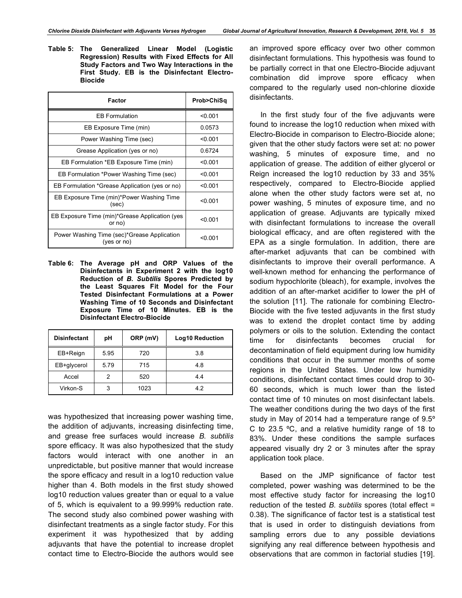**Table 5: The Generalized Linear Model (Logistic Regression) Results with Fixed Effects for All Study Factors and Two Way Interactions in the First Study. EB is the Disinfectant Electro-Biocide**

| Factor                                                     | Prob>ChiSq |
|------------------------------------------------------------|------------|
| <b>EB Formulation</b>                                      | < 0.001    |
| EB Exposure Time (min)                                     | 0.0573     |
| Power Washing Time (sec)                                   | < 0.001    |
| Grease Application (yes or no)                             | 0.6724     |
| EB Formulation *EB Exposure Time (min)                     | < 0.001    |
| EB Formulation *Power Washing Time (sec)                   | < 0.001    |
| EB Formulation *Grease Application (yes or no)             | < 0.001    |
| EB Exposure Time (min)*Power Washing Time<br>(sec)         | < 0.001    |
| EB Exposure Time (min)*Grease Application (yes<br>or no)   | < 0.001    |
| Power Washing Time (sec)*Grease Application<br>(yes or no) | < 0.001    |

**Table 6: The Average pH and ORP Values of the Disinfectants in Experiment 2 with the log10 Reduction of** *B. Subtilis* **Spores Predicted by the Least Squares Fit Model for the Four Tested Disinfectant Formulations at a Power Washing Time of 10 Seconds and Disinfectant Exposure Time of 10 Minutes. EB is the Disinfectant Electro-Biocide**

| <b>Disinfectant</b> | рH   | ORP (mV) | Log10 Reduction |
|---------------------|------|----------|-----------------|
| EB+Reign            | 5.95 | 720      | 3.8             |
| EB+glycerol         | 5.79 | 715      | 4.8             |
| Accel               | 2    | 520      | 4.4             |
| Virkon-S            | 3    | 1023     | 4.2             |

was hypothesized that increasing power washing time. the addition of adjuvants, increasing disinfecting time, and grease free surfaces would increase *B. subtilis*  spore efficacy. It was also hypothesized that the study factors would interact with one another in an unpredictable, but positive manner that would increase the spore efficacy and result in a log10 reduction value higher than 4. Both models in the first study showed log10 reduction values greater than or equal to a value of 5, which is equivalent to a 99.999% reduction rate. The second study also combined power washing with disinfectant treatments as a single factor study. For this experiment it was hypothesized that by adding adjuvants that have the potential to increase droplet contact time to Electro-Biocide the authors would see

an improved spore efficacy over two other common disinfectant formulations. This hypothesis was found to be partially correct in that one Electro-Biocide adjuvant combination did improve spore efficacy when compared to the regularly used non-chlorine dioxide disinfectants.

In the first study four of the five adjuvants were found to increase the log10 reduction when mixed with Electro-Biocide in comparison to Electro-Biocide alone; given that the other study factors were set at: no power washing, 5 minutes of exposure time, and no application of grease. The addition of either glycerol or Reign increased the log10 reduction by 33 and 35% respectively, compared to Electro-Biocide applied alone when the other study factors were set at, no power washing, 5 minutes of exposure time, and no application of grease. Adjuvants are typically mixed with disinfectant formulations to increase the overall biological efficacy, and are often registered with the EPA as a single formulation. In addition, there are after-market adjuvants that can be combined with disinfectants to improve their overall performance. A well-known method for enhancing the performance of sodium hypochlorite (bleach), for example, involves the addition of an after-market acidifier to lower the pH of the solution [11]. The rationale for combining Electro-Biocide with the five tested adjuvants in the first study was to extend the droplet contact time by adding polymers or oils to the solution. Extending the contact time for disinfectants becomes crucial for decontamination of field equipment during low humidity conditions that occur in the summer months of some regions in the United States. Under low humidity conditions, disinfectant contact times could drop to 30- 60 seconds, which is much lower than the listed contact time of 10 minutes on most disinfectant labels. The weather conditions during the two days of the first study in May of 2014 had a temperature range of 9.5º C to 23.5 ºC, and a relative humidity range of 18 to 83%. Under these conditions the sample surfaces appeared visually dry 2 or 3 minutes after the spray application took place.

Based on the JMP significance of factor test completed, power washing was determined to be the most effective study factor for increasing the log10 reduction of the tested *B. subtilis* spores (total effect = 0.38). The significance of factor test is a statistical test that is used in order to distinguish deviations from sampling errors due to any possible deviations signifying any real difference between hypothesis and observations that are common in factorial studies [19].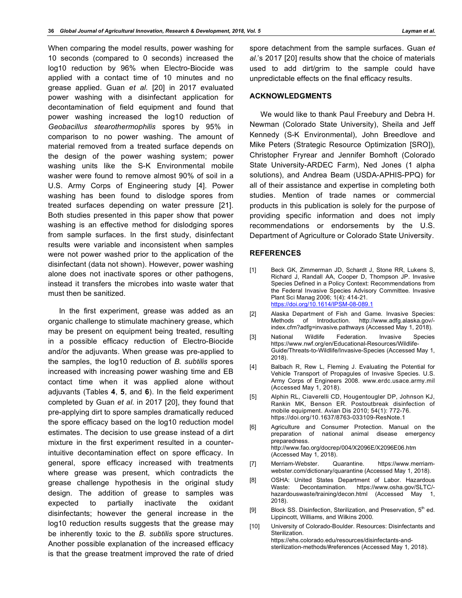When comparing the model results, power washing for 10 seconds (compared to 0 seconds) increased the log10 reduction by 96% when Electro-Biocide was applied with a contact time of 10 minutes and no grease applied. Guan *et al*. [20] in 2017 evaluated power washing with a disinfectant application for decontamination of field equipment and found that power washing increased the log10 reduction of *Geobacillus stearothermophilis* spores by 95% in comparison to no power washing. The amount of material removed from a treated surface depends on the design of the power washing system; power washing units like the S-K Environmental mobile washer were found to remove almost 90% of soil in a U.S. Army Corps of Engineering study [4]. Power washing has been found to dislodge spores from treated surfaces depending on water pressure [21]. Both studies presented in this paper show that power washing is an effective method for dislodging spores from sample surfaces. In the first study, disinfectant results were variable and inconsistent when samples were not power washed prior to the application of the disinfectant (data not shown). However, power washing alone does not inactivate spores or other pathogens, instead it transfers the microbes into waste water that must then be sanitized.

In the first experiment, grease was added as an organic challenge to stimulate machinery grease, which may be present on equipment being treated, resulting in a possible efficacy reduction of Electro-Biocide and/or the adjuvants. When grease was pre-applied to the samples, the log10 reduction of *B. subtilis* spores increased with increasing power washing time and EB contact time when it was applied alone without adjuvants (Tables **4**, **5**, and **6**). In the field experiment completed by Guan *et al*. in 2017 [20], they found that pre-applying dirt to spore samples dramatically reduced the spore efficacy based on the log10 reduction model estimates. The decision to use grease instead of a dirt mixture in the first experiment resulted in a counterintuitive decontamination effect on spore efficacy. In general, spore efficacy increased with treatments where grease was present, which contradicts the grease challenge hypothesis in the original study design. The addition of grease to samples was expected to partially inactivate the oxidant disinfectants; however the general increase in the log10 reduction results suggests that the grease may be inherently toxic to the *B. subtilis* spore structures. Another possible explanation of the increased efficacy is that the grease treatment improved the rate of dried

spore detachment from the sample surfaces. Guan *et al*.'s 2017 [20] results show that the choice of materials used to add dirt/grim to the sample could have unpredictable effects on the final efficacy results.

#### **ACKNOWLEDGMENTS**

We would like to thank Paul Freebury and Debra H. Newman (Colorado State University), Sheila and Jeff Kennedy (S-K Environmental), John Breedlove and Mike Peters (Strategic Resource Optimization [SRO]), Christopher Fryrear and Jennifer Bomhoft (Colorado State University-ARDEC Farm), Ned Jones (1 alpha solutions), and Andrea Beam (USDA-APHIS-PPQ) for all of their assistance and expertise in completing both studies. Mention of trade names or commercial products in this publication is solely for the purpose of providing specific information and does not imply recommendations or endorsements by the U.S. Department of Agriculture or Colorado State University.

### **REFERENCES**

- [1] Beck GK, Zimmerman JD, Schardt J, Stone RR, Lukens S, Richard J, Randall AA, Cooper D, Thompson JP. Invasive Species Defined in a Policy Context: Recommendations from the Federal Invasive Species Advisory Committee. Invasive Plant Sci Manag 2006; 1(4): 414-21. https://doi.org/10.1614/IPSM-08-089.1
- [2] Alaska Department of Fish and Game. Invasive Species: Methods of Introduction. http://www.adfg.alaska.gov/ index.cfm?adfg=invasive.pathways (Accessed May 1, 2018).
- [3] National Wildlife Federation. Invasive Species https://www.nwf.org/en/Educational-Resources/Wildlife-Guide/Threats-to-Wildlife/Invasive-Species (Accessed May 1, 2018).
- [4] Balbach R, Rew L, Fleming J. Evaluating the Potential for Vehicle Transport of Propagules of Invasive Species. U.S. Army Corps of Engineers 2008. www.erdc.usace.army.mil (Accessed May 1, 2018).
- [5] Alphin RL, Ciaverelli CD, Hougentougler DP, Johnson KJ, Rankin MK, Benson ER. Postoutbreak disinfection of mobile equipment. Avian Dis 2010; 54(1): 772-76. https://doi.org/10.1637/8763-033109-ResNote.1
- [6] Agriculture and Consumer Protection. Manual on the preparation of national animal disease emergency preparedness. http://www.fao.org/docrep/004/X2096E/X2096E06.htm (Accessed May 1, 2018).
- [7] Merriam-Webster. Quarantine. https://www.merriamwebster.com/dictionary/quarantine (Accessed May 1, 2018).
- [8] OSHA: United States Department of Labor. Hazardous Waste: Decontamination. https://www.osha.gov/SLTC/ hazardouswaste/training/decon.html (Accessed May 1, 2018).
- [9] Block SS. Disinfection, Sterilization, and Preservation,  $5<sup>th</sup>$  ed. Lippincott, Williams, and Wilkins 2000.
- [10] University of Colorado-Boulder. Resources: Disinfectants and Sterilization. https://ehs.colorado.edu/resources/disinfectants-andsterilization-methods/#references (Accessed May 1, 2018).